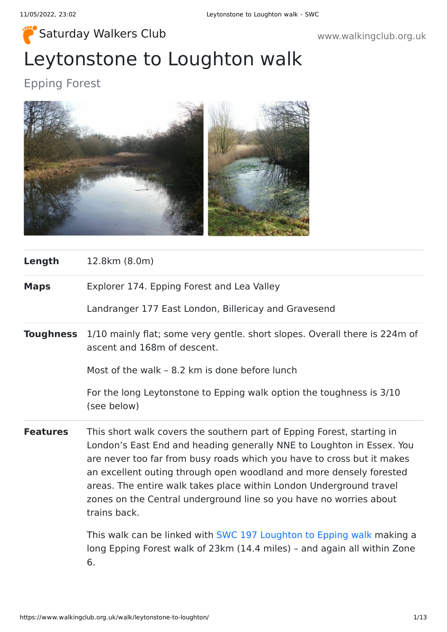# Leytonstone to Loughton walk [Saturday Walkers Club](https://www.walkingclub.org.uk/) www.walkingclub.org.uk

# Epping Forest



| Length           | 12.8km (8.0m)                                                                                                                                                                                                                                                                                                                                                                                                                                                 |
|------------------|---------------------------------------------------------------------------------------------------------------------------------------------------------------------------------------------------------------------------------------------------------------------------------------------------------------------------------------------------------------------------------------------------------------------------------------------------------------|
| <b>Maps</b>      | Explorer 174. Epping Forest and Lea Valley                                                                                                                                                                                                                                                                                                                                                                                                                    |
|                  | Landranger 177 East London, Billericay and Gravesend                                                                                                                                                                                                                                                                                                                                                                                                          |
| <b>Toughness</b> | 1/10 mainly flat; some very gentle. short slopes. Overall there is 224m of<br>ascent and 168m of descent.                                                                                                                                                                                                                                                                                                                                                     |
|                  | Most of the walk - 8.2 km is done before lunch                                                                                                                                                                                                                                                                                                                                                                                                                |
|                  | For the long Leytonstone to Epping walk option the toughness is 3/10<br>(see below)                                                                                                                                                                                                                                                                                                                                                                           |
| <b>Features</b>  | This short walk covers the southern part of Epping Forest, starting in<br>London's East End and heading generally NNE to Loughton in Essex. You<br>are never too far from busy roads which you have to cross but it makes<br>an excellent outing through open woodland and more densely forested<br>areas. The entire walk takes place within London Underground travel<br>zones on the Central underground line so you have no worries about<br>trains back. |
|                  | This walk can be linked with SWC 197 Loughton to Epping walk making a<br>long Epping Forest walk of 23km (14.4 miles) - and again all within Zone<br>6.                                                                                                                                                                                                                                                                                                       |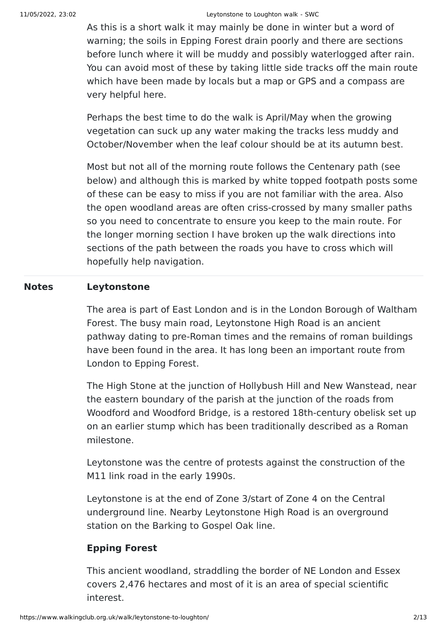#### 11/05/2022, 23:02 Leytonstone to Loughton walk - SWC

As this is a short walk it may mainly be done in winter but a word of warning; the soils in Epping Forest drain poorly and there are sections before lunch where it will be muddy and possibly waterlogged after rain. You can avoid most of these by taking little side tracks off the main route which have been made by locals but a map or GPS and a compass are very helpful here.

Perhaps the best time to do the walk is April/May when the growing vegetation can suck up any water making the tracks less muddy and October/November when the leaf colour should be at its autumn best.

Most but not all of the morning route follows the Centenary path (see below) and although this is marked by white topped footpath posts some of these can be easy to miss if you are not familiar with the area. Also the open woodland areas are often criss-crossed by many smaller paths so you need to concentrate to ensure you keep to the main route. For the longer morning section I have broken up the walk directions into sections of the path between the roads you have to cross which will hopefully help navigation.

#### **Notes Leytonstone**

The area is part of East London and is in the London Borough of Waltham Forest. The busy main road, Leytonstone High Road is an ancient pathway dating to pre-Roman times and the remains of roman buildings have been found in the area. It has long been an important route from London to Epping Forest.

The High Stone at the junction of Hollybush Hill and New Wanstead, near the eastern boundary of the parish at the junction of the roads from Woodford and Woodford Bridge, is a restored 18th-century obelisk set up on an earlier stump which has been traditionally described as a Roman milestone.

Leytonstone was the centre of protests against the construction of the M11 link road in the early 1990s.

Leytonstone is at the end of Zone 3/start of Zone 4 on the Central underground line. Nearby Leytonstone High Road is an overground station on the Barking to Gospel Oak line.

#### **Epping Forest**

This ancient woodland, straddling the border of NE London and Essex covers 2,476 hectares and most of it is an area of special scientific interest.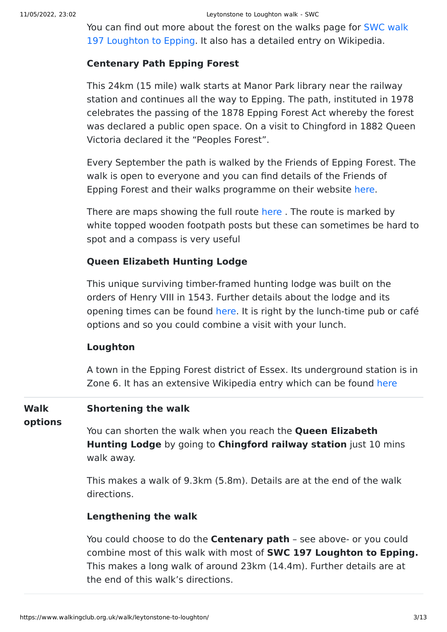[You can find out more about the forest on the walks page for SWC walk](https://www.walkingclub.org.uk/book_3/walk_197/index.shtml) 197 Loughton to Epping. It also has a detailed entry on Wikipedia.

#### **Centenary Path Epping Forest**

This 24km (15 mile) walk starts at Manor Park library near the railway station and continues all the way to Epping. The path, instituted in 1978 celebrates the passing of the 1878 Epping Forest Act whereby the forest was declared a public open space. On a visit to Chingford in 1882 Queen Victoria declared it the "Peoples Forest".

Every September the path is walked by the Friends of Epping Forest. The walk is open to everyone and you can find details of the Friends of Epping Forest and their walks programme on their website [here](http://www.friendsofeppingforest.org.uk/).

There are maps showing the full route here. The route is marked by white topped wooden footpath posts but these can sometimes be hard to spot and a compass is very useful

#### **Queen Elizabeth Hunting Lodge**

This unique surviving timber-framed hunting lodge was built on the orders of Henry VIII in 1543. Further details about the lodge and its opening times can be found [here](http://www.cityoflondon.gov.uk/things-to-do/green-spaces/epping-forest/visitor-information/Pages/queen-elizabeths-hunting-lodge.aspx). It is right by the lunch-time pub or café options and so you could combine a visit with your lunch.

#### **Loughton**

A town in the Epping Forest district of Essex. Its underground station is in Zone 6. It has an extensive Wikipedia entry which can be found [here](http://en.wikipedia.org/wiki/Loughton)

#### **Walk Shortening the walk**

**options**

You can shorten the walk when you reach the **Queen Elizabeth Hunting Lodge** by going to **Chingford railway station** just 10 mins walk away.

This makes a walk of 9.3km (5.8m). Details are at the end of the walk directions.

#### **Lengthening the walk**

You could choose to do the **Centenary path** – see above- or you could combine most of this walk with most of **SWC 197 Loughton to Epping.** This makes a long walk of around 23km (14.4m). Further details are at the end of this walk's directions.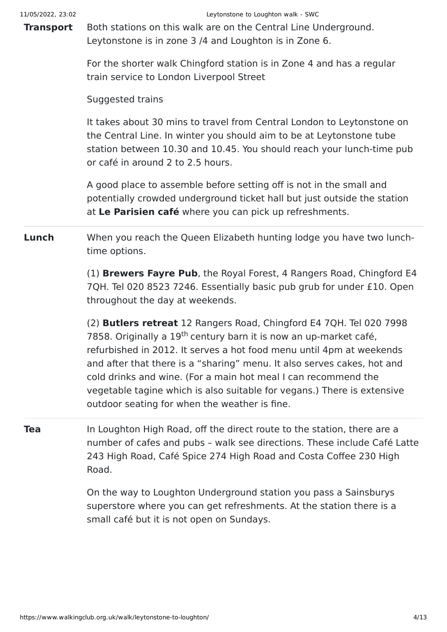**Transport** Both stations on this walk are on the Central Line Underground. Leytonstone is in zone 3 /4 and Loughton is in Zone 6.

> For the shorter walk Chingford station is in Zone 4 and has a regular train service to London Liverpool Street

Suggested trains

It takes about 30 mins to travel from Central London to Leytonstone on the Central Line. In winter you should aim to be at Leytonstone tube station between 10.30 and 10.45. You should reach your lunch-time pub or café in around 2 to 2.5 hours.

A good place to assemble before setting off is not in the small and potentially crowded underground ticket hall but just outside the station at **Le Parisien café** where you can pick up refreshments.

**Lunch** When you reach the Queen Elizabeth hunting lodge you have two lunchtime options.

> (1) **Brewers Fayre Pub**, the Royal Forest, 4 Rangers Road, Chingford E4 7QH. Tel 020 8523 7246. Essentially basic pub grub for under £10. Open throughout the day at weekends.

(2) **Butlers retreat** 12 Rangers Road, Chingford E4 7QH. Tel 020 7998 7858. Originally a 19<sup>th</sup> century barn it is now an up-market café, refurbished in 2012. It serves a hot food menu until 4pm at weekends and after that there is a "sharing" menu. It also serves cakes, hot and cold drinks and wine. (For a main hot meal I can recommend the vegetable tagine which is also suitable for vegans.) There is extensive outdoor seating for when the weather is fine.

**Tea** In Loughton High Road, off the direct route to the station, there are a number of cafes and pubs – walk see directions. These include Café Latte 243 High Road, Café Spice 274 High Road and Costa Coffee 230 High Road.

> On the way to Loughton Underground station you pass a Sainsburys superstore where you can get refreshments. At the station there is a small café but it is not open on Sundays.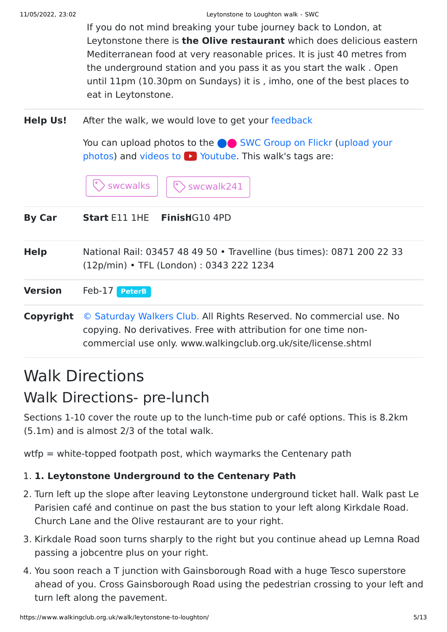If you do not mind breaking your tube journey back to London, at Leytonstone there is **the Olive restaurant** which does delicious eastern Mediterranean food at very reasonable prices. It is just 40 metres from the underground station and you pass it as you start the walk . Open until 11pm (10.30pm on Sundays) it is , imho, one of the best places to eat in Leytonstone.

**Help Us!** After the walk, we would love to get your [feedback](https://www.walkingclub.org.uk/walk/leytonstone-to-loughton/comments.html)

You can upload photos to the **v** [SWC Group on Flickr](http://www.flickr.com/groups/swc) (upload your photos) and videos to  $\triangleright$  Youtube. This walk's tags are:



| <b>By Car</b>  | <b>Start E11 1HE FinishG10 4PD</b>                                                                                                                                                                        |
|----------------|-----------------------------------------------------------------------------------------------------------------------------------------------------------------------------------------------------------|
| <b>Help</b>    | National Rail: 03457 48 49 50 • Travelline (bus times): 0871 200 22 33<br>(12p/min) • TFL (London): 0343 222 1234                                                                                         |
| <b>Version</b> | Feb-17 PeterB                                                                                                                                                                                             |
| Copyright      | © Saturday Walkers Club. All Rights Reserved. No commercial use. No<br>copying. No derivatives. Free with attribution for one time non-<br>commercial use only. www.walkingclub.org.uk/site/license.shtml |

# Walk Directions

# Walk Directions- pre-lunch

Sections 1-10 cover the route up to the lunch-time pub or café options. This is 8.2km (5.1m) and is almost 2/3 of the total walk.

wtfp = white-topped footpath post, which waymarks the Centenary path

## 1. **1. Leytonstone Underground to the Centenary Path**

- 2. Turn left up the slope after leaving Leytonstone underground ticket hall. Walk past Le Parisien café and continue on past the bus station to your left along Kirkdale Road. Church Lane and the Olive restaurant are to your right.
- 3. Kirkdale Road soon turns sharply to the right but you continue ahead up Lemna Road passing a jobcentre plus on your right.
- 4. You soon reach a T junction with Gainsborough Road with a huge Tesco superstore ahead of you. Cross Gainsborough Road using the pedestrian crossing to your left and turn left along the pavement.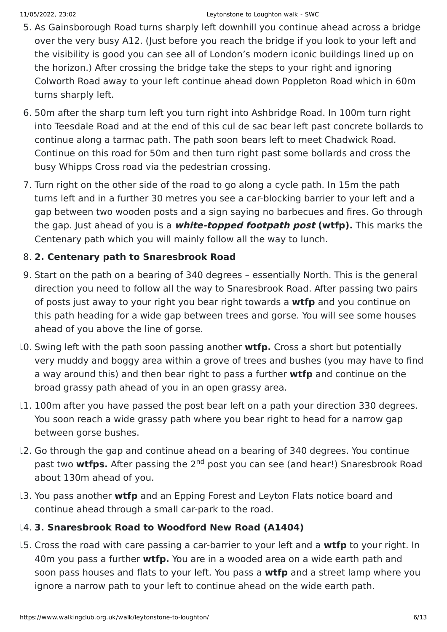- 5. As Gainsborough Road turns sharply left downhill you continue ahead across a bridge over the very busy A12. (Just before you reach the bridge if you look to your left and the visibility is good you can see all of London's modern iconic buildings lined up on the horizon.) After crossing the bridge take the steps to your right and ignoring Colworth Road away to your left continue ahead down Poppleton Road which in 60m turns sharply left.
- 6. 50m after the sharp turn left you turn right into Ashbridge Road. In 100m turn right into Teesdale Road and at the end of this cul de sac bear left past concrete bollards to continue along a tarmac path. The path soon bears left to meet Chadwick Road. Continue on this road for 50m and then turn right past some bollards and cross the busy Whipps Cross road via the pedestrian crossing.
- 7. Turn right on the other side of the road to go along a cycle path. In 15m the path turns left and in a further 30 metres you see a car-blocking barrier to your left and a gap between two wooden posts and a sign saying no barbecues and fires. Go through the gap. Just ahead of you is a **white-topped footpath post (wtfp).** This marks the Centenary path which you will mainly follow all the way to lunch.

### 8. **2. Centenary path to Snaresbrook Road**

- 9. Start on the path on a bearing of 340 degrees essentially North. This is the general direction you need to follow all the way to Snaresbrook Road. After passing two pairs of posts just away to your right you bear right towards a **wtfp** and you continue on this path heading for a wide gap between trees and gorse. You will see some houses ahead of you above the line of gorse.
- 10. Swing left with the path soon passing another **wtfp.** Cross a short but potentially very muddy and boggy area within a grove of trees and bushes (you may have to find a way around this) and then bear right to pass a further **wtfp** and continue on the broad grassy path ahead of you in an open grassy area.
- 11. 100m after you have passed the post bear left on a path your direction 330 degrees. You soon reach a wide grassy path where you bear right to head for a narrow gap between gorse bushes.
- 12. Go through the gap and continue ahead on a bearing of 340 degrees. You continue past two wtfps. After passing the 2<sup>nd</sup> post you can see (and hear!) Snaresbrook Road about 130m ahead of you.
- 13. You pass another **wtfp** and an Epping Forest and Leyton Flats notice board and continue ahead through a small car-park to the road.

### 14. **3. Snaresbrook Road to Woodford New Road (A1404)**

15. Cross the road with care passing a car-barrier to your left and a **wtfp** to your right. In 40m you pass a further **wtfp.** You are in a wooded area on a wide earth path and soon pass houses and flats to your left. You pass a **wtfp** and a street lamp where you ignore a narrow path to your left to continue ahead on the wide earth path.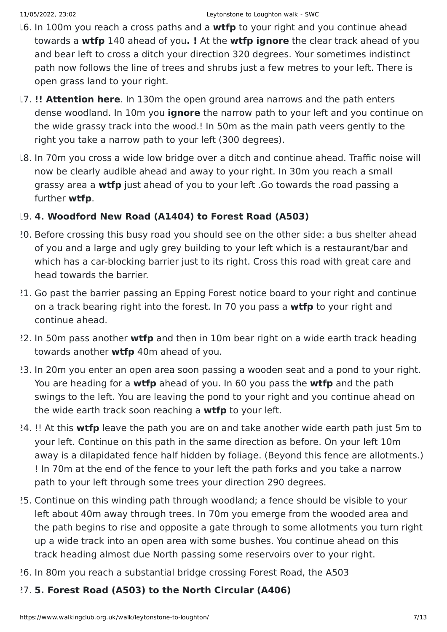- 16. In 100m you reach a cross paths and a **wtfp** to your right and you continue ahead towards a **wtfp** 140 ahead of you**. !** At the **wtfp ignore** the clear track ahead of you and bear left to cross a ditch your direction 320 degrees. Your sometimes indistinct path now follows the line of trees and shrubs just a few metres to your left. There is open grass land to your right.
- 17. **!! Attention here**. In 130m the open ground area narrows and the path enters dense woodland. In 10m you **ignore** the narrow path to your left and you continue on the wide grassy track into the wood.! In 50m as the main path veers gently to the right you take a narrow path to your left (300 degrees).
- 18. In 70m you cross a wide low bridge over a ditch and continue ahead. Traffic noise will now be clearly audible ahead and away to your right. In 30m you reach a small grassy area a **wtfp** just ahead of you to your left .Go towards the road passing a further **wtfp**.

#### 19. **4. Woodford New Road (A1404) to Forest Road (A503)**

- 20. Before crossing this busy road you should see on the other side: a bus shelter ahead of you and a large and ugly grey building to your left which is a restaurant/bar and which has a car-blocking barrier just to its right. Cross this road with great care and head towards the barrier.
- 21. Go past the barrier passing an Epping Forest notice board to your right and continue on a track bearing right into the forest. In 70 you pass a **wtfp** to your right and continue ahead.
- 22. In 50m pass another **wtfp** and then in 10m bear right on a wide earth track heading towards another **wtfp** 40m ahead of you.
- 23. In 20m you enter an open area soon passing a wooden seat and a pond to your right. You are heading for a **wtfp** ahead of you. In 60 you pass the **wtfp** and the path swings to the left. You are leaving the pond to your right and you continue ahead on the wide earth track soon reaching a **wtfp** to your left.
- 24. !! At this **wtfp** leave the path you are on and take another wide earth path just 5m to your left. Continue on this path in the same direction as before. On your left 10m away is a dilapidated fence half hidden by foliage. (Beyond this fence are allotments.) ! In 70m at the end of the fence to your left the path forks and you take a narrow path to your left through some trees your direction 290 degrees.
- 25. Continue on this winding path through woodland; a fence should be visible to your left about 40m away through trees. In 70m you emerge from the wooded area and the path begins to rise and opposite a gate through to some allotments you turn right up a wide track into an open area with some bushes. You continue ahead on this track heading almost due North passing some reservoirs over to your right.
- 26. In 80m you reach a substantial bridge crossing Forest Road, the A503

### 27. **5. Forest Road (A503) to the North Circular (A406)**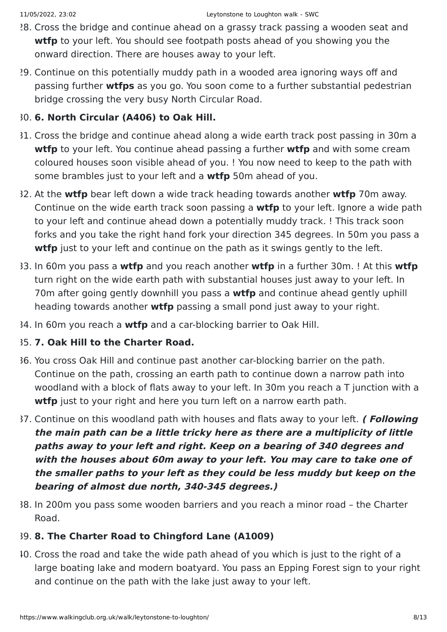- 28. Cross the bridge and continue ahead on a grassy track passing a wooden seat and **wtfp** to your left. You should see footpath posts ahead of you showing you the onward direction. There are houses away to your left.
- 29. Continue on this potentially muddy path in a wooded area ignoring ways off and passing further **wtfps** as you go. You soon come to a further substantial pedestrian bridge crossing the very busy North Circular Road.

#### 30. **6. North Circular (A406) to Oak Hill.**

- 31. Cross the bridge and continue ahead along a wide earth track post passing in 30m a **wtfp** to your left. You continue ahead passing a further **wtfp** and with some cream coloured houses soon visible ahead of you. ! You now need to keep to the path with some brambles just to your left and a **wtfp** 50m ahead of you.
- 32. At the **wtfp** bear left down a wide track heading towards another **wtfp** 70m away. Continue on the wide earth track soon passing a **wtfp** to your left. Ignore a wide path to your left and continue ahead down a potentially muddy track. ! This track soon forks and you take the right hand fork your direction 345 degrees. In 50m you pass a **wtfp** just to your left and continue on the path as it swings gently to the left.
- 33. In 60m you pass a **wtfp** and you reach another **wtfp** in a further 30m. ! At this **wtfp** turn right on the wide earth path with substantial houses just away to your left. In 70m after going gently downhill you pass a **wtfp** and continue ahead gently uphill heading towards another **wtfp** passing a small pond just away to your right.
- 34. In 60m you reach a **wtfp** and a car-blocking barrier to Oak Hill.

#### 35. **7. Oak Hill to the Charter Road.**

- 36. You cross Oak Hill and continue past another car-blocking barrier on the path. Continue on the path, crossing an earth path to continue down a narrow path into woodland with a block of flats away to your left. In 30m you reach a T junction with a **wtfp** just to your right and here you turn left on a narrow earth path.
- 37. Continue on this woodland path with houses and flats away to your left. **( Following the main path can be a little tricky here as there are a multiplicity of little paths away to your left and right. Keep on a bearing of 340 degrees and with the houses about 60m away to your left. You may care to take one of the smaller paths to your left as they could be less muddy but keep on the bearing of almost due north, 340-345 degrees.)**
- 38. In 200m you pass some wooden barriers and you reach a minor road the Charter Road.

#### 39. **8. The Charter Road to Chingford Lane (A1009)**

40. Cross the road and take the wide path ahead of you which is just to the right of a large boating lake and modern boatyard. You pass an Epping Forest sign to your right and continue on the path with the lake just away to your left.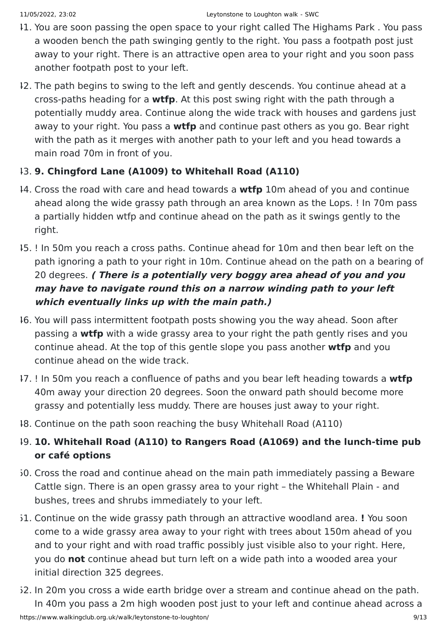- 41. You are soon passing the open space to your right called The Highams Park . You pass a wooden bench the path swinging gently to the right. You pass a footpath post just away to your right. There is an attractive open area to your right and you soon pass another footpath post to your left.
- 42. The path begins to swing to the left and gently descends. You continue ahead at a cross-paths heading for a **wtfp**. At this post swing right with the path through a potentially muddy area. Continue along the wide track with houses and gardens just away to your right. You pass a **wtfp** and continue past others as you go. Bear right with the path as it merges with another path to your left and you head towards a main road 70m in front of you.

#### 43. **9. Chingford Lane (A1009) to Whitehall Road (A110)**

- 44. Cross the road with care and head towards a **wtfp** 10m ahead of you and continue ahead along the wide grassy path through an area known as the Lops. ! In 70m pass a partially hidden wtfp and continue ahead on the path as it swings gently to the right.
- 45. ! In 50m you reach a cross paths. Continue ahead for 10m and then bear left on the path ignoring a path to your right in 10m. Continue ahead on the path on a bearing of 20 degrees. **( There is a potentially very boggy area ahead of you and you may have to navigate round this on a narrow winding path to your left which eventually links up with the main path.)**
- 46. You will pass intermittent footpath posts showing you the way ahead. Soon after passing a **wtfp** with a wide grassy area to your right the path gently rises and you continue ahead. At the top of this gentle slope you pass another **wtfp** and you continue ahead on the wide track.
- 47. ! In 50m you reach a confluence of paths and you bear left heading towards a **wtfp** 40m away your direction 20 degrees. Soon the onward path should become more grassy and potentially less muddy. There are houses just away to your right.
- 48. Continue on the path soon reaching the busy Whitehall Road (A110)

### 49. **10. Whitehall Road (A110) to Rangers Road (A1069) and the lunch-time pub or café options**

- 50. Cross the road and continue ahead on the main path immediately passing a Beware Cattle sign. There is an open grassy area to your right – the Whitehall Plain - and bushes, trees and shrubs immediately to your left.
- 51. Continue on the wide grassy path through an attractive woodland area. **!** You soon come to a wide grassy area away to your right with trees about 150m ahead of you and to your right and with road traffic possibly just visible also to your right. Here, you do **not** continue ahead but turn left on a wide path into a wooded area your initial direction 325 degrees.
- 52. In 20m you cross a wide earth bridge over a stream and continue ahead on the path. In 40m you pass a 2m high wooden post just to your left and continue ahead across a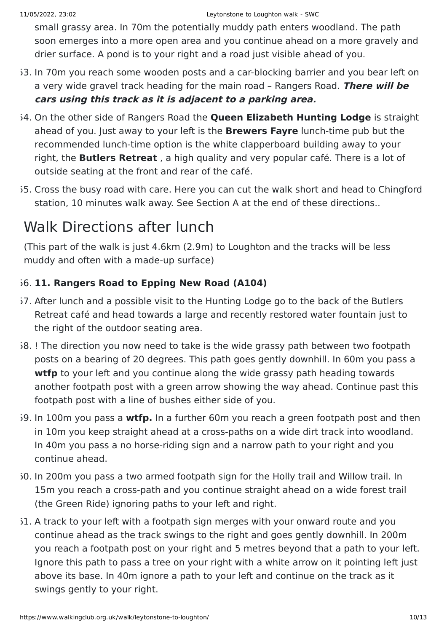small grassy area. In 70m the potentially muddy path enters woodland. The path soon emerges into a more open area and you continue ahead on a more gravely and drier surface. A pond is to your right and a road just visible ahead of you.

- 53. In 70m you reach some wooden posts and a car-blocking barrier and you bear left on a very wide gravel track heading for the main road – Rangers Road. **There will be cars using this track as it is adjacent to a parking area.**
- 54. On the other side of Rangers Road the **Queen Elizabeth Hunting Lodge** is straight ahead of you. Just away to your left is the **Brewers Fayre** lunch-time pub but the recommended lunch-time option is the white clapperboard building away to your right, the **Butlers Retreat** , a high quality and very popular café. There is a lot of outside seating at the front and rear of the café.
- 55. Cross the busy road with care. Here you can cut the walk short and head to Chingford station, 10 minutes walk away. See Section A at the end of these directions..

# Walk Directions after lunch

(This part of the walk is just 4.6km (2.9m) to Loughton and the tracks will be less muddy and often with a made-up surface)

### 56. **11. Rangers Road to Epping New Road (A104)**

- 57. After lunch and a possible visit to the Hunting Lodge go to the back of the Butlers Retreat café and head towards a large and recently restored water fountain just to the right of the outdoor seating area.
- 58. ! The direction you now need to take is the wide grassy path between two footpath posts on a bearing of 20 degrees. This path goes gently downhill. In 60m you pass a **wtfp** to your left and you continue along the wide grassy path heading towards another footpath post with a green arrow showing the way ahead. Continue past this footpath post with a line of bushes either side of you.
- 59. In 100m you pass a **wtfp.** In a further 60m you reach a green footpath post and then in 10m you keep straight ahead at a cross-paths on a wide dirt track into woodland. In 40m you pass a no horse-riding sign and a narrow path to your right and you continue ahead.
- 60. In 200m you pass a two armed footpath sign for the Holly trail and Willow trail. In 15m you reach a cross-path and you continue straight ahead on a wide forest trail (the Green Ride) ignoring paths to your left and right.
- 51. A track to your left with a footpath sign merges with your onward route and you continue ahead as the track swings to the right and goes gently downhill. In 200m you reach a footpath post on your right and 5 metres beyond that a path to your left. Ignore this path to pass a tree on your right with a white arrow on it pointing left just above its base. In 40m ignore a path to your left and continue on the track as it swings gently to your right.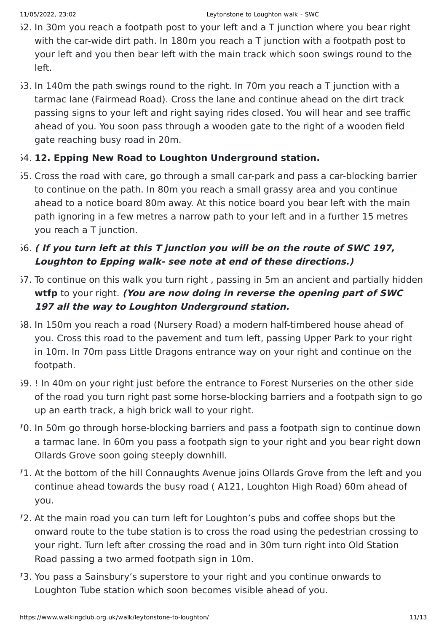- $62.$  In 30m you reach a footpath post to your left and a T junction where you bear right with the car-wide dirt path. In 180m you reach a T junction with a footpath post to your left and you then bear left with the main track which soon swings round to the left.
- 63. In 140m the path swings round to the right. In 70m you reach a T junction with a tarmac lane (Fairmead Road). Cross the lane and continue ahead on the dirt track passing signs to your left and right saying rides closed. You will hear and see traffic ahead of you. You soon pass through a wooden gate to the right of a wooden field gate reaching busy road in 20m.

#### 64. **12. Epping New Road to Loughton Underground station.**

65. Cross the road with care, go through a small car-park and pass a car-blocking barrier to continue on the path. In 80m you reach a small grassy area and you continue ahead to a notice board 80m away. At this notice board you bear left with the main path ignoring in a few metres a narrow path to your left and in a further 15 metres you reach a T junction.

### 66. **( If you turn left at this T junction you will be on the route of SWC 197, Loughton to Epping walk- see note at end of these directions.)**

- 57. To continue on this walk you turn right, passing in 5m an ancient and partially hidden **wtfp** to your right. **(You are now doing in reverse the opening part of SWC 197 all the way to Loughton Underground station.**
- 68. In 150m you reach a road (Nursery Road) a modern half-timbered house ahead of you. Cross this road to the pavement and turn left, passing Upper Park to your right in 10m. In 70m pass Little Dragons entrance way on your right and continue on the footpath.
- 69. ! In 40m on your right just before the entrance to Forest Nurseries on the other side of the road you turn right past some horse-blocking barriers and a footpath sign to go up an earth track, a high brick wall to your right.
- 70. In 50m go through horse-blocking barriers and pass a footpath sign to continue down a tarmac lane. In 60m you pass a footpath sign to your right and you bear right down Ollards Grove soon going steeply downhill.
- 71. At the bottom of the hill Connaughts Avenue joins Ollards Grove from the left and you continue ahead towards the busy road ( A121, Loughton High Road) 60m ahead of you.
- 72. At the main road you can turn left for Loughton's pubs and coffee shops but the onward route to the tube station is to cross the road using the pedestrian crossing to your right. Turn left after crossing the road and in 30m turn right into Old Station Road passing a two armed footpath sign in 10m.
- 73. You pass a Sainsbury's superstore to your right and you continue onwards to Loughton Tube station which soon becomes visible ahead of you.